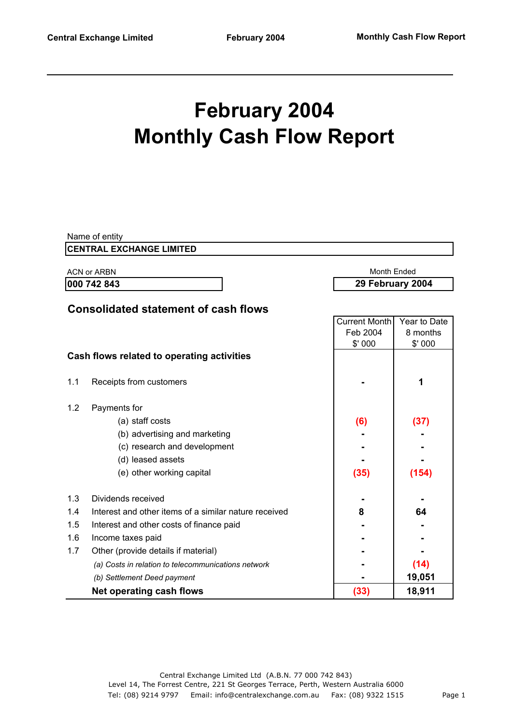# **February 2004 Monthly Cash Flow Report**

|     | Name of entity                                        |                      |                  |  |
|-----|-------------------------------------------------------|----------------------|------------------|--|
|     | <b>CENTRAL EXCHANGE LIMITED</b>                       |                      |                  |  |
|     | <b>ACN or ARBN</b>                                    | Month Ended          |                  |  |
|     | 000 742 843                                           |                      | 29 February 2004 |  |
|     |                                                       |                      |                  |  |
|     | <b>Consolidated statement of cash flows</b>           |                      |                  |  |
|     |                                                       | <b>Current Month</b> | Year to Date     |  |
|     |                                                       | Feb 2004             | 8 months         |  |
|     |                                                       | \$'000               | \$'000           |  |
|     | Cash flows related to operating activities            |                      |                  |  |
|     |                                                       |                      |                  |  |
| 1.1 | Receipts from customers                               |                      | 1                |  |
| 1.2 | Payments for                                          |                      |                  |  |
|     | (a) staff costs                                       | (6)                  | (37)             |  |
|     | (b) advertising and marketing                         |                      |                  |  |
|     | (c) research and development                          |                      |                  |  |
|     | (d) leased assets                                     |                      |                  |  |
|     |                                                       |                      |                  |  |
|     | (e) other working capital                             | (35)                 | (154)            |  |
| 1.3 | Dividends received                                    |                      |                  |  |
| 1.4 | Interest and other items of a similar nature received | 8                    | 64               |  |
| 1.5 | Interest and other costs of finance paid              |                      |                  |  |
| 1.6 | Income taxes paid                                     |                      |                  |  |
| 1.7 | Other (provide details if material)                   |                      |                  |  |
|     | (a) Costs in relation to telecommunications network   |                      | (14)             |  |
|     | (b) Settlement Deed payment                           |                      | 19,051           |  |
|     | Net operating cash flows                              | (33)                 | 18,911           |  |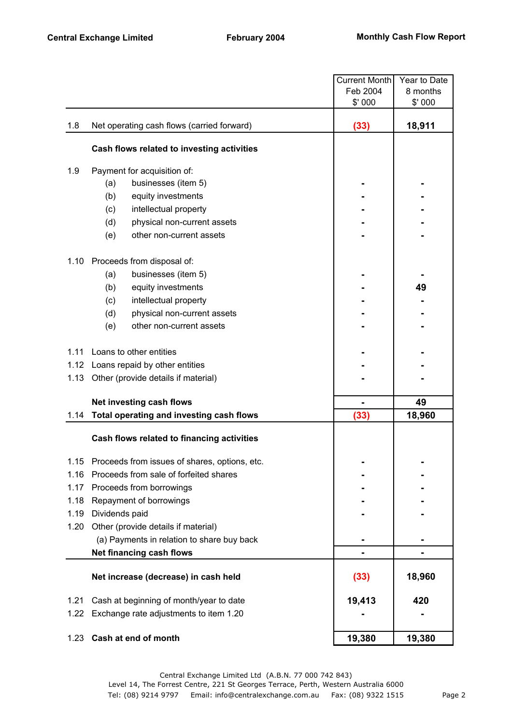|      |                                               | <b>Current Month</b> | Year to Date |
|------|-----------------------------------------------|----------------------|--------------|
|      |                                               | Feb 2004             | 8 months     |
|      |                                               | \$'000               | \$'000       |
| 1.8  | Net operating cash flows (carried forward)    | (33)                 | 18,911       |
|      | Cash flows related to investing activities    |                      |              |
| 1.9  | Payment for acquisition of:                   |                      |              |
|      | businesses (item 5)<br>(a)                    |                      |              |
|      | (b)<br>equity investments                     |                      |              |
|      | (c)<br>intellectual property                  |                      |              |
|      | (d)<br>physical non-current assets            |                      |              |
|      | other non-current assets<br>(e)               |                      |              |
| 1.10 | Proceeds from disposal of:                    |                      |              |
|      | businesses (item 5)<br>(a)                    |                      |              |
|      | (b)<br>equity investments                     |                      | 49           |
|      | (c)<br>intellectual property                  |                      |              |
|      | physical non-current assets<br>(d)            |                      |              |
|      | other non-current assets<br>(e)               |                      |              |
| 1.11 | Loans to other entities                       |                      |              |
|      | 1.12 Loans repaid by other entities           |                      |              |
| 1.13 | Other (provide details if material)           |                      |              |
|      | Net investing cash flows                      |                      | 49           |
| 1.14 | Total operating and investing cash flows      | (33)                 | 18,960       |
|      | Cash flows related to financing activities    |                      |              |
| 1.15 | Proceeds from issues of shares, options, etc. |                      |              |
| 1.16 | Proceeds from sale of forfeited shares        |                      |              |
| 1.17 | Proceeds from borrowings                      |                      |              |
| 1.18 | Repayment of borrowings                       |                      |              |
| 1.19 | Dividends paid                                |                      |              |
| 1.20 | Other (provide details if material)           |                      |              |
|      | (a) Payments in relation to share buy back    |                      |              |
|      | Net financing cash flows                      |                      |              |
|      | Net increase (decrease) in cash held          | (33)                 | 18,960       |
| 1.21 | Cash at beginning of month/year to date       | 19,413               | 420          |
| 1.22 | Exchange rate adjustments to item 1.20        |                      |              |
| 1.23 | Cash at end of month                          | 19,380               | 19,380       |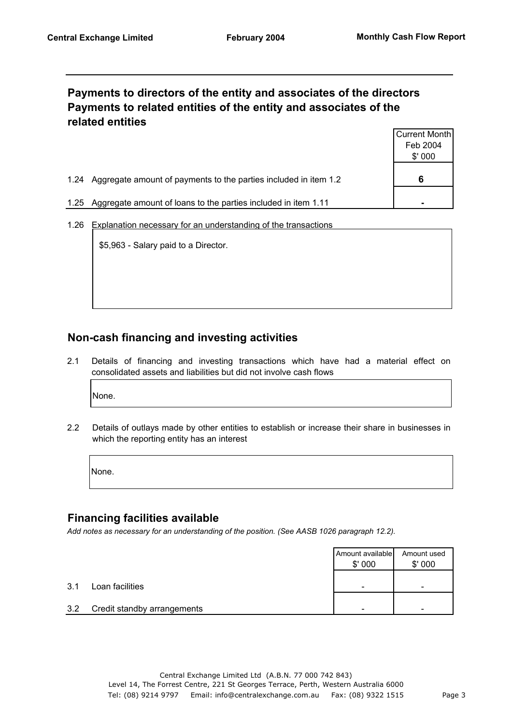## **Payments to directors of the entity and associates of the directors Payments to related entities of the entity and associates of the related entities**

|                                                                          | Current Month |
|--------------------------------------------------------------------------|---------------|
|                                                                          | Feb 2004      |
|                                                                          | \$'000        |
| Aggregate amount of payments to the parties included in item 1.2<br>1.24 | 6             |
| Aggregate amount of loans to the parties included in item 1.11<br>1.25   |               |

1.26 Explanation necessary for an understanding of the transactions

\$5,963 - Salary paid to a Director.

#### **Non-cash financing and investing activities**

2.1 Details of financing and investing transactions which have had a material effect on consolidated assets and liabilities but did not involve cash flows

None.

2.2 Details of outlays made by other entities to establish or increase their share in businesses in which the reporting entity has an interest

None.

#### **Financing facilities available**

*Add notes as necessary for an understanding of the position. (See AASB 1026 paragraph 12.2).*

|     |                             | Amount available<br>\$'000 | Amount used<br>\$'000 |
|-----|-----------------------------|----------------------------|-----------------------|
| 3.1 | Loan facilities             | -                          | -                     |
| 3.2 | Credit standby arrangements |                            | -                     |